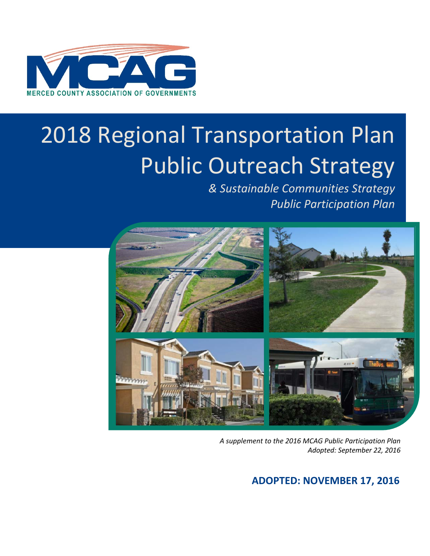

# 2018 Regional Transportation Plan Public Outreach Strategy

*& Sustainable Communities Strategy Public Participation Plan*



*A supplement to the 2016 MCAG Public Participation Plan Adopted: September 22, 2016*

# **ADOPTED: NOVEMBER 17, 2016**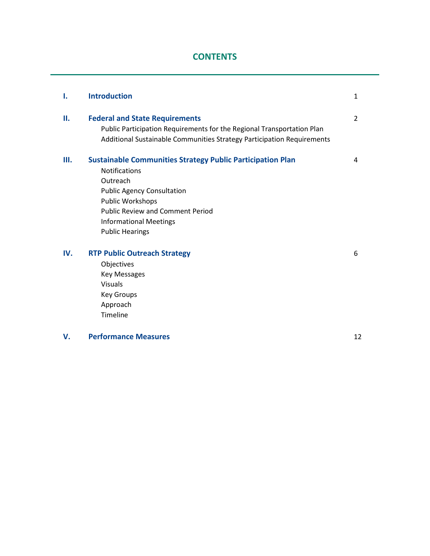# **CONTENTS**

| Ι.  | <b>Introduction</b>                                                                                                                                                                                                                                                  | 1              |
|-----|----------------------------------------------------------------------------------------------------------------------------------------------------------------------------------------------------------------------------------------------------------------------|----------------|
| П.  | <b>Federal and State Requirements</b><br>Public Participation Requirements for the Regional Transportation Plan<br>Additional Sustainable Communities Strategy Participation Requirements                                                                            | $\overline{2}$ |
| Ш.  | <b>Sustainable Communities Strategy Public Participation Plan</b><br><b>Notifications</b><br>Outreach<br><b>Public Agency Consultation</b><br>Public Workshops<br><b>Public Review and Comment Period</b><br><b>Informational Meetings</b><br><b>Public Hearings</b> | 4              |
| IV. | <b>RTP Public Outreach Strategy</b><br>Objectives<br><b>Key Messages</b><br><b>Visuals</b><br><b>Key Groups</b><br>Approach<br>Timeline                                                                                                                              | 6              |
| V.  | <b>Performance Measures</b>                                                                                                                                                                                                                                          | 12             |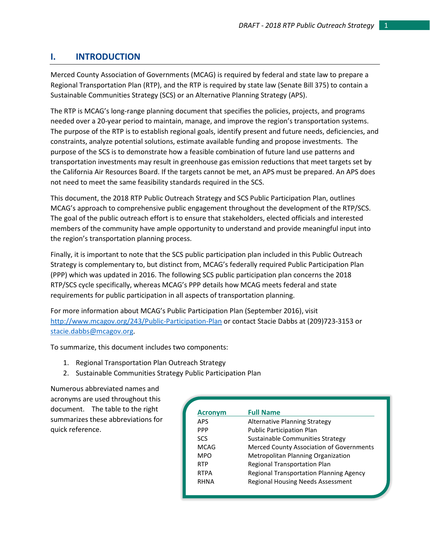# **I. INTRODUCTION**

Merced County Association of Governments (MCAG) is required by federal and state law to prepare a Regional Transportation Plan (RTP), and the RTP is required by state law (Senate Bill 375) to contain a Sustainable Communities Strategy (SCS) or an Alternative Planning Strategy (APS).

The RTP is MCAG's long-range planning document that specifies the policies, projects, and programs needed over a 20-year period to maintain, manage, and improve the region's transportation systems. The purpose of the RTP is to establish regional goals, identify present and future needs, deficiencies, and constraints, analyze potential solutions, estimate available funding and propose investments. The purpose of the SCS is to demonstrate how a feasible combination of future land use patterns and transportation investments may result in greenhouse gas emission reductions that meet targets set by the California Air Resources Board. If the targets cannot be met, an APS must be prepared. An APS does not need to meet the same feasibility standards required in the SCS.

This document, the 2018 RTP Public Outreach Strategy and SCS Public Participation Plan, outlines MCAG's approach to comprehensive public engagement throughout the development of the RTP/SCS. The goal of the public outreach effort is to ensure that stakeholders, elected officials and interested members of the community have ample opportunity to understand and provide meaningful input into the region's transportation planning process.

Finally, it is important to note that the SCS public participation plan included in this Public Outreach Strategy is complementary to, but distinct from, MCAG's federally required Public Participation Plan (PPP) which was updated in 2016. The following SCS public participation plan concerns the 2018 RTP/SCS cycle specifically, whereas MCAG's PPP details how MCAG meets federal and state requirements for public participation in all aspects of transportation planning.

For more information about MCAG's Public Participation Plan (September 2016), visit <http://www.mcagov.org/243/Public-Participation-Plan> or contact Stacie Dabbs at (209)723-3153 or [stacie.dabbs@mcagov.org.](mailto:stacie.dabbs@mcagov.org)

To summarize, this document includes two components:

- 1. Regional Transportation Plan Outreach Strategy
- 2. Sustainable Communities Strategy Public Participation Plan

Numerous abbreviated names and acronyms are used throughout this document. The table to the right summarizes these abbreviations for quick reference.

| <b>Acronym</b> | <b>Full Name</b>                                |
|----------------|-------------------------------------------------|
| <b>APS</b>     | <b>Alternative Planning Strategy</b>            |
| <b>PPP</b>     | <b>Public Participation Plan</b>                |
| <b>SCS</b>     | Sustainable Communities Strategy                |
| <b>MCAG</b>    | <b>Merced County Association of Governments</b> |
| <b>MPO</b>     | <b>Metropolitan Planning Organization</b>       |
| <b>RTP</b>     | Regional Transportation Plan                    |
| <b>RTPA</b>    | <b>Regional Transportation Planning Agency</b>  |
| <b>RHNA</b>    | <b>Regional Housing Needs Assessment</b>        |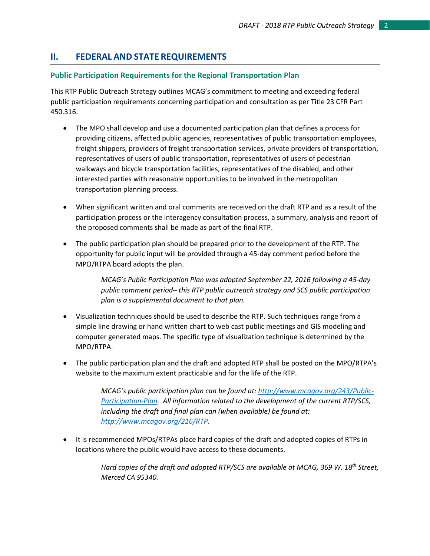# **II. FEDERAL AND STATE REQUIREMENTS**

# **Public Participation Requirements for the Regional Transportation Plan**

This RTP Public Outreach Strategy outlines MCAG's commitment to meeting and exceeding federal public participation requirements concerning participation and consultation as per Title 23 CFR Part 450.316.

- The MPO shall develop and use a documented participation plan that defines a process for providing citizens, affected public agencies, representatives of public transportation employees, freight shippers, providers of freight transportation services, private providers of transportation, representatives of users of public transportation, representatives of users of pedestrian walkways and bicycle transportation facilities, representatives of the disabled, and other interested parties with reasonable opportunities to be involved in the metropolitan transportation planning process.
- When significant written and oral comments are received on the draft RTP and as a result of the participation process or the interagency consultation process, a summary, analysis and report of the proposed comments shall be made as part of the final RTP.
- The public participation plan should be prepared prior to the development of the RTP. The opportunity for public input will be provided through a 45-day comment period before the MPO/RTPA board adopts the plan.

*MCAG's Public Participation Plan was adopted September 22, 2016 following a 45-day public comment period– this RTP public outreach strategy and SCS public participation plan is a supplemental document to that plan.* 

- Visualization techniques should be used to describe the RTP. Such techniques range from a simple line drawing or hand written chart to web cast public meetings and GIS modeling and computer generated maps. The specific type of visualization technique is determined by the MPO/RTPA.
- The public participation plan and the draft and adopted RTP shall be posted on the MPO/RTPA's website to the maximum extent practicable and for the life of the RTP.

*MCAG's public participation plan can be found at[: http://www.mcagov.org/243/Public-](http://www.mcagov.org/243/Public-Participation-Plan)[Participation-Plan.](http://www.mcagov.org/243/Public-Participation-Plan) All information related to the development of the current RTP/SCS, including the draft and final plan can (when available) be found at: [http://www.mcagov.org/216/RTP.](http://www.mcagov.org/216/RTP)* 

• It is recommended MPOs/RTPAs place hard copies of the draft and adopted copies of RTPs in locations where the public would have access to these documents.

> *Hard copies of the draft and adopted RTP/SCS are available at MCAG, 369 W. 18th Street, Merced CA 95340.*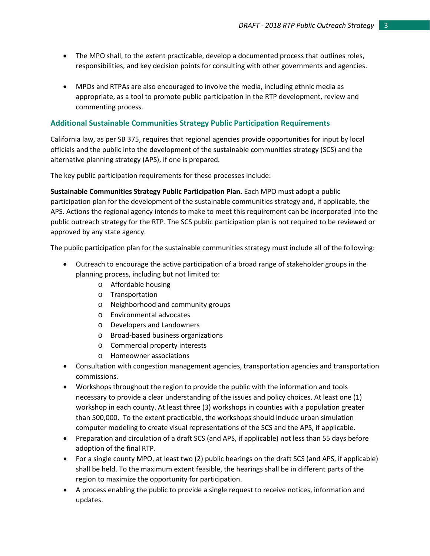- The MPO shall, to the extent practicable, develop a documented process that outlines roles, responsibilities, and key decision points for consulting with other governments and agencies.
- MPOs and RTPAs are also encouraged to involve the media, including ethnic media as appropriate, as a tool to promote public participation in the RTP development, review and commenting process.

# **Additional Sustainable Communities Strategy Public Participation Requirements**

California law, as per SB 375, requires that regional agencies provide opportunities for input by local officials and the public into the development of the sustainable communities strategy (SCS) and the alternative planning strategy (APS), if one is prepared.

The key public participation requirements for these processes include:

**Sustainable Communities Strategy Public Participation Plan.** Each MPO must adopt a public participation plan for the development of the sustainable communities strategy and, if applicable, the APS. Actions the regional agency intends to make to meet this requirement can be incorporated into the public outreach strategy for the RTP. The SCS public participation plan is not required to be reviewed or approved by any state agency.

The public participation plan for the sustainable communities strategy must include all of the following:

- Outreach to encourage the active participation of a broad range of stakeholder groups in the planning process, including but not limited to:
	- o Affordable housing
	- o Transportation
	- o Neighborhood and community groups
	- o Environmental advocates
	- o Developers and Landowners
	- o Broad-based business organizations
	- o Commercial property interests
	- o Homeowner associations
- Consultation with congestion management agencies, transportation agencies and transportation commissions.
- Workshops throughout the region to provide the public with the information and tools necessary to provide a clear understanding of the issues and policy choices. At least one (1) workshop in each county. At least three (3) workshops in counties with a population greater than 500,000. To the extent practicable, the workshops should include urban simulation computer modeling to create visual representations of the SCS and the APS, if applicable.
- Preparation and circulation of a draft SCS (and APS, if applicable) not less than 55 days before adoption of the final RTP.
- For a single county MPO, at least two (2) public hearings on the draft SCS (and APS, if applicable) shall be held. To the maximum extent feasible, the hearings shall be in different parts of the region to maximize the opportunity for participation.
- A process enabling the public to provide a single request to receive notices, information and updates.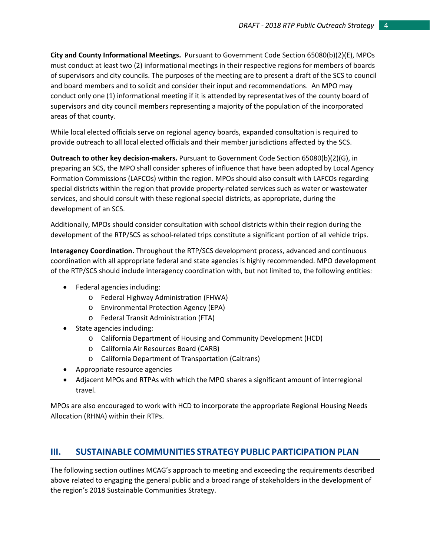**City and County Informational Meetings.** Pursuant to Government Code Section 65080(b)(2)(E), MPOs must conduct at least two (2) informational meetings in their respective regions for members of boards of supervisors and city councils. The purposes of the meeting are to present a draft of the SCS to council and board members and to solicit and consider their input and recommendations. An MPO may conduct only one (1) informational meeting if it is attended by representatives of the county board of supervisors and city council members representing a majority of the population of the incorporated areas of that county.

While local elected officials serve on regional agency boards, expanded consultation is required to provide outreach to all local elected officials and their member jurisdictions affected by the SCS.

**Outreach to other key decision-makers.** Pursuant to Government Code Section 65080(b)(2)(G), in preparing an SCS, the MPO shall consider spheres of influence that have been adopted by Local Agency Formation Commissions (LAFCOs) within the region. MPOs should also consult with LAFCOs regarding special districts within the region that provide property-related services such as water or wastewater services, and should consult with these regional special districts, as appropriate, during the development of an SCS.

Additionally, MPOs should consider consultation with school districts within their region during the development of the RTP/SCS as school-related trips constitute a significant portion of all vehicle trips.

**Interagency Coordination.** Throughout the RTP/SCS development process, advanced and continuous coordination with all appropriate federal and state agencies is highly recommended. MPO development of the RTP/SCS should include interagency coordination with, but not limited to, the following entities:

- Federal agencies including:
	- o Federal Highway Administration (FHWA)
	- o Environmental Protection Agency (EPA)
	- o Federal Transit Administration (FTA)
- State agencies including:
	- o California Department of Housing and Community Development (HCD)
	- o California Air Resources Board (CARB)
	- o California Department of Transportation (Caltrans)
- Appropriate resource agencies
- Adjacent MPOs and RTPAs with which the MPO shares a significant amount of interregional travel.

MPOs are also encouraged to work with HCD to incorporate the appropriate Regional Housing Needs Allocation (RHNA) within their RTPs.

# **III. SUSTAINABLE COMMUNITIES STRATEGY PUBLIC PARTICIPATION PLAN**

The following section outlines MCAG's approach to meeting and exceeding the requirements described above related to engaging the general public and a broad range of stakeholders in the development of the region's 2018 Sustainable Communities Strategy.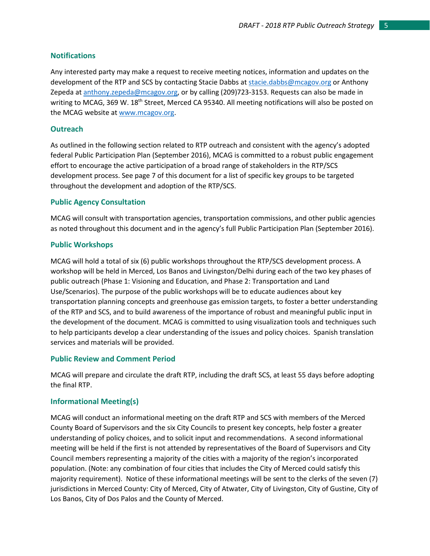# **Notifications**

Any interested party may make a request to receive meeting notices, information and updates on the development of the RTP and SCS by contacting Stacie Dabbs at [stacie.dabbs@mcagov.org](mailto:stacie.dabbs@mcagov.org) or Anthony Zepeda at [anthony.zepeda@mcagov.org](mailto:anthony.zepeda@mcagov.or), or by calling (209)723-3153. Requests can also be made in writing to MCAG, 369 W. 18<sup>th</sup> Street, Merced CA 95340. All meeting notifications will also be posted on the MCAG website a[t www.mcagov.org.](http://www.mcagov.org/)

#### **Outreach**

As outlined in the following section related to RTP outreach and consistent with the agency's adopted federal Public Participation Plan (September 2016), MCAG is committed to a robust public engagement effort to encourage the active participation of a broad range of stakeholders in the RTP/SCS development process. See page 7 of this document for a list of specific key groups to be targeted throughout the development and adoption of the RTP/SCS.

#### **Public Agency Consultation**

MCAG will consult with transportation agencies, transportation commissions, and other public agencies as noted throughout this document and in the agency's full Public Participation Plan (September 2016).

#### **Public Workshops**

MCAG will hold a total of six (6) public workshops throughout the RTP/SCS development process. A workshop will be held in Merced, Los Banos and Livingston/Delhi during each of the two key phases of public outreach (Phase 1: Visioning and Education, and Phase 2: Transportation and Land Use/Scenarios). The purpose of the public workshops will be to educate audiences about key transportation planning concepts and greenhouse gas emission targets, to foster a better understanding of the RTP and SCS, and to build awareness of the importance of robust and meaningful public input in the development of the document. MCAG is committed to using visualization tools and techniques such to help participants develop a clear understanding of the issues and policy choices. Spanish translation services and materials will be provided.

#### **Public Review and Comment Period**

MCAG will prepare and circulate the draft RTP, including the draft SCS, at least 55 days before adopting the final RTP.

# **Informational Meeting(s)**

MCAG will conduct an informational meeting on the draft RTP and SCS with members of the Merced County Board of Supervisors and the six City Councils to present key concepts, help foster a greater understanding of policy choices, and to solicit input and recommendations. A second informational meeting will be held if the first is not attended by representatives of the Board of Supervisors and City Council members representing a majority of the cities with a majority of the region's incorporated population. (Note: any combination of four cities that includes the City of Merced could satisfy this majority requirement). Notice of these informational meetings will be sent to the clerks of the seven (7) jurisdictions in Merced County: City of Merced, City of Atwater, City of Livingston, City of Gustine, City of Los Banos, City of Dos Palos and the County of Merced.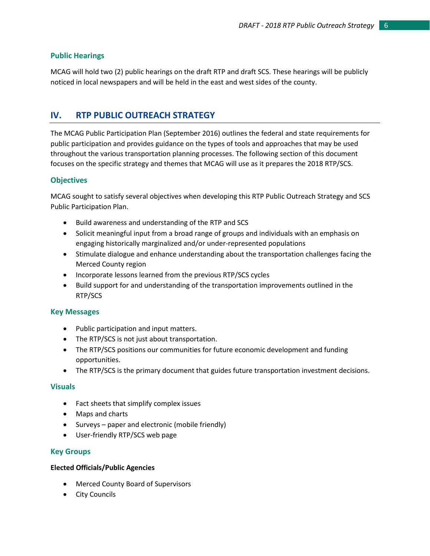# **Public Hearings**

MCAG will hold two (2) public hearings on the draft RTP and draft SCS. These hearings will be publicly noticed in local newspapers and will be held in the east and west sides of the county.

# **IV. RTP PUBLIC OUTREACH STRATEGY**

The MCAG Public Participation Plan (September 2016) outlines the federal and state requirements for public participation and provides guidance on the types of tools and approaches that may be used throughout the various transportation planning processes. The following section of this document focuses on the specific strategy and themes that MCAG will use as it prepares the 2018 RTP/SCS.

# **Objectives**

MCAG sought to satisfy several objectives when developing this RTP Public Outreach Strategy and SCS Public Participation Plan.

- Build awareness and understanding of the RTP and SCS
- Solicit meaningful input from a broad range of groups and individuals with an emphasis on engaging historically marginalized and/or under-represented populations
- Stimulate dialogue and enhance understanding about the transportation challenges facing the Merced County region
- Incorporate lessons learned from the previous RTP/SCS cycles
- Build support for and understanding of the transportation improvements outlined in the RTP/SCS

# **Key Messages**

- Public participation and input matters.
- The RTP/SCS is not just about transportation.
- The RTP/SCS positions our communities for future economic development and funding opportunities.
- The RTP/SCS is the primary document that guides future transportation investment decisions.

# **Visuals**

- Fact sheets that simplify complex issues
- Maps and charts
- Surveys paper and electronic (mobile friendly)
- User-friendly RTP/SCS web page

# **Key Groups**

# **Elected Officials/Public Agencies**

- Merced County Board of Supervisors
- City Councils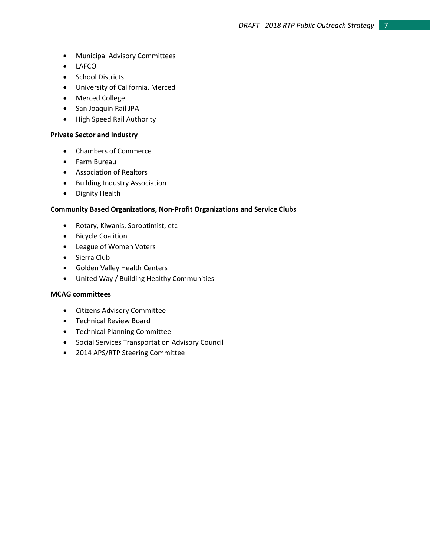- Municipal Advisory Committees
- LAFCO
- School Districts
- University of California, Merced
- Merced College
- San Joaquin Rail JPA
- High Speed Rail Authority

#### **Private Sector and Industry**

- Chambers of Commerce
- Farm Bureau
- Association of Realtors
- Building Industry Association
- Dignity Health

#### **Community Based Organizations, Non-Profit Organizations and Service Clubs**

- Rotary, Kiwanis, Soroptimist, etc
- Bicycle Coalition
- League of Women Voters
- Sierra Club
- Golden Valley Health Centers
- United Way / Building Healthy Communities

#### **MCAG committees**

- Citizens Advisory Committee
- Technical Review Board
- Technical Planning Committee
- Social Services Transportation Advisory Council
- 2014 APS/RTP Steering Committee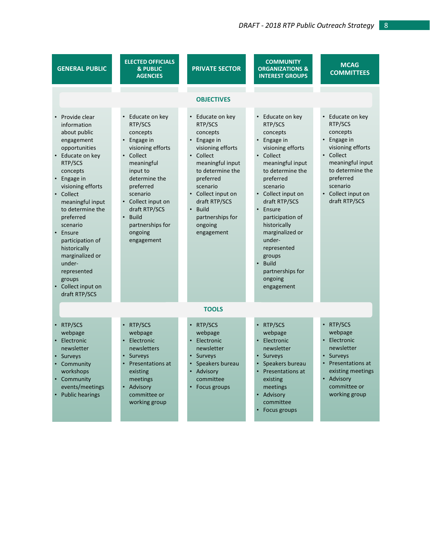| <b>GENERAL PUBLIC</b>                                                                                                                                                                                                                                                                                                                                                                            | <b>ELECTED OFFICIALS</b><br><b>&amp; PUBLIC</b><br><b>AGENCIES</b>                                                                                                                                                                                           | <b>PRIVATE SECTOR</b>                                                                                                                                                                                                                                              | <b>COMMUNITY</b><br><b>ORGANIZATIONS &amp;</b><br><b>INTEREST GROUPS</b>                                                                                                                                                                                                                                                                                                              | <b>MCAG</b><br><b>COMMITTEES</b>                                                                                                                                                             |  |  |  |  |
|--------------------------------------------------------------------------------------------------------------------------------------------------------------------------------------------------------------------------------------------------------------------------------------------------------------------------------------------------------------------------------------------------|--------------------------------------------------------------------------------------------------------------------------------------------------------------------------------------------------------------------------------------------------------------|--------------------------------------------------------------------------------------------------------------------------------------------------------------------------------------------------------------------------------------------------------------------|---------------------------------------------------------------------------------------------------------------------------------------------------------------------------------------------------------------------------------------------------------------------------------------------------------------------------------------------------------------------------------------|----------------------------------------------------------------------------------------------------------------------------------------------------------------------------------------------|--|--|--|--|
| <b>OBJECTIVES</b>                                                                                                                                                                                                                                                                                                                                                                                |                                                                                                                                                                                                                                                              |                                                                                                                                                                                                                                                                    |                                                                                                                                                                                                                                                                                                                                                                                       |                                                                                                                                                                                              |  |  |  |  |
| • Provide clear<br>information<br>about public<br>engagement<br>opportunities<br>• Educate on key<br>RTP/SCS<br>concepts<br>• Engage in<br>visioning efforts<br>• Collect<br>meaningful input<br>to determine the<br>preferred<br>scenario<br>Ensure<br>participation of<br>historically<br>marginalized or<br>under-<br>represented<br>groups<br>Collect input on<br>$\bullet$<br>draft RTP/SCS | • Educate on key<br>RTP/SCS<br>concepts<br>Engage in<br>٠<br>visioning efforts<br>Collect<br>meaningful<br>input to<br>determine the<br>preferred<br>scenario<br>• Collect input on<br>draft RTP/SCS<br>• Build<br>partnerships for<br>ongoing<br>engagement | Educate on key<br>RTP/SCS<br>concepts<br>Engage in<br>visioning efforts<br>Collect<br>meaningful input<br>to determine the<br>preferred<br>scenario<br>Collect input on<br>draft RTP/SCS<br><b>Build</b><br>$\bullet$<br>partnerships for<br>ongoing<br>engagement | • Educate on key<br>RTP/SCS<br>concepts<br>Engage in<br>visioning efforts<br>Collect<br>$\bullet$<br>meaningful input<br>to determine the<br>preferred<br>scenario<br>Collect input on<br>draft RTP/SCS<br>Ensure<br>participation of<br>historically<br>marginalized or<br>under-<br>represented<br>groups<br><b>Build</b><br>$\bullet$<br>partnerships for<br>ongoing<br>engagement | • Educate on key<br>RTP/SCS<br>concepts<br>Engage in<br>visioning efforts<br>• Collect<br>meaningful input<br>to determine the<br>preferred<br>scenario<br>Collect input on<br>draft RTP/SCS |  |  |  |  |
| <b>TOOLS</b>                                                                                                                                                                                                                                                                                                                                                                                     |                                                                                                                                                                                                                                                              |                                                                                                                                                                                                                                                                    |                                                                                                                                                                                                                                                                                                                                                                                       |                                                                                                                                                                                              |  |  |  |  |
| • RTP/SCS<br>webpage<br>Electronic<br>newsletter<br>Surveys<br>Community<br>workshops<br>Community<br>events/meetings<br>• Public hearings                                                                                                                                                                                                                                                       | RTP/SCS<br>$\bullet$<br>webpage<br>Electronic<br>newsletters<br>Surveys<br><b>Presentations at</b><br>existing<br>meetings<br>Advisory<br>committee or<br>working group                                                                                      | RTP/SCS<br>webpage<br>Electronic<br>newsletter<br>Surveys<br>Speakers bureau<br>• Advisory<br>committee<br>Focus groups                                                                                                                                            | • RTP/SCS<br>webpage<br>Electronic<br>newsletter<br>• Surveys<br>Speakers bureau<br>Presentations at<br>existing<br>meetings<br>• Advisory<br>committee<br>• Focus groups                                                                                                                                                                                                             | • RTP/SCS<br>webpage<br>Electronic<br>newsletter<br>• Surveys<br>Presentations at<br>existing meetings<br>• Advisory<br>committee or<br>working group                                        |  |  |  |  |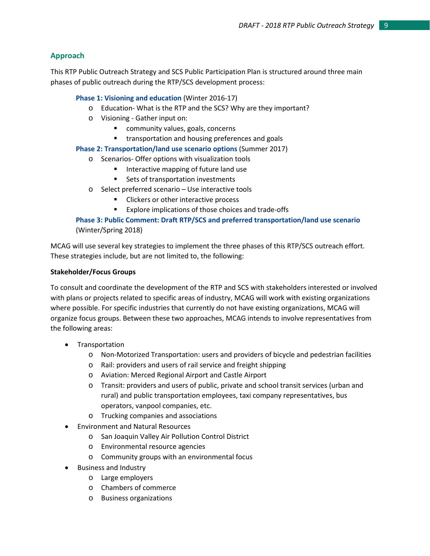# **Approach**

This RTP Public Outreach Strategy and SCS Public Participation Plan is structured around three main phases of public outreach during the RTP/SCS development process:

# **Phase 1: Visioning and education** (Winter 2016-17)

- o Education- What is the RTP and the SCS? Why are they important?
- o Visioning Gather input on:
	- **E** community values, goals, concerns
	- **transportation and housing preferences and goals**

# **Phase 2: Transportation/land use scenario options** (Summer 2017)

- o Scenarios- Offer options with visualization tools
	- **Interactive mapping of future land use**
	- Sets of transportation investments
- o Select preferred scenario Use interactive tools
	- **EXECUTE:** Clickers or other interactive process
	- Explore implications of those choices and trade-offs

# **Phase 3: Public Comment: Draft RTP/SCS and preferred transportation/land use scenario** (Winter/Spring 2018)

MCAG will use several key strategies to implement the three phases of this RTP/SCS outreach effort. These strategies include, but are not limited to, the following:

# **Stakeholder/Focus Groups**

To consult and coordinate the development of the RTP and SCS with stakeholders interested or involved with plans or projects related to specific areas of industry, MCAG will work with existing organizations where possible. For specific industries that currently do not have existing organizations, MCAG will organize focus groups. Between these two approaches, MCAG intends to involve representatives from the following areas:

- **Transportation** 
	- o Non-Motorized Transportation: users and providers of bicycle and pedestrian facilities
	- o Rail: providers and users of rail service and freight shipping
	- o Aviation: Merced Regional Airport and Castle Airport
	- o Transit: providers and users of public, private and school transit services (urban and rural) and public transportation employees, taxi company representatives, bus operators, vanpool companies, etc.
	- o Trucking companies and associations
- Environment and Natural Resources
	- o San Joaquin Valley Air Pollution Control District
	- o Environmental resource agencies
	- o Community groups with an environmental focus
- Business and Industry
	- o Large employers
	- o Chambers of commerce
	- o Business organizations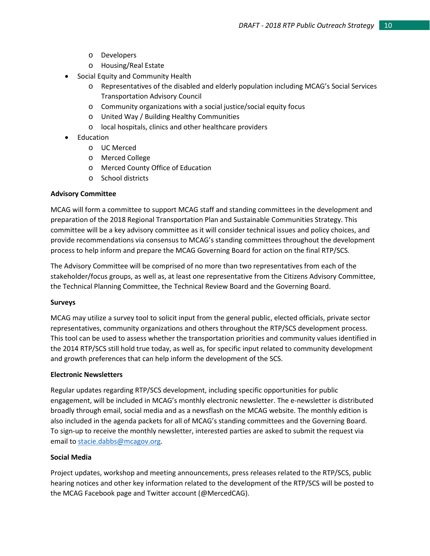- o Developers
- o Housing/Real Estate
- Social Equity and Community Health
	- o Representatives of the disabled and elderly population including MCAG's Social Services Transportation Advisory Council
	- o Community organizations with a social justice/social equity focus
	- o United Way / Building Healthy Communities
	- o local hospitals, clinics and other healthcare providers
- **Education** 
	- o UC Merced
	- o Merced College
	- o Merced County Office of Education
	- o School districts

# **Advisory Committee**

MCAG will form a committee to support MCAG staff and standing committees in the development and preparation of the 2018 Regional Transportation Plan and Sustainable Communities Strategy. This committee will be a key advisory committee as it will consider technical issues and policy choices, and provide recommendations via consensus to MCAG's standing committees throughout the development process to help inform and prepare the MCAG Governing Board for action on the final RTP/SCS.

The Advisory Committee will be comprised of no more than two representatives from each of the stakeholder/focus groups, as well as, at least one representative from the Citizens Advisory Committee, the Technical Planning Committee, the Technical Review Board and the Governing Board.

#### **Surveys**

MCAG may utilize a survey tool to solicit input from the general public, elected officials, private sector representatives, community organizations and others throughout the RTP/SCS development process. This tool can be used to assess whether the transportation priorities and community values identified in the 2014 RTP/SCS still hold true today, as well as, for specific input related to community development and growth preferences that can help inform the development of the SCS.

# **Electronic Newsletters**

Regular updates regarding RTP/SCS development, including specific opportunities for public engagement, will be included in MCAG's monthly electronic newsletter. The e-newsletter is distributed broadly through email, social media and as a newsflash on the MCAG website. The monthly edition is also included in the agenda packets for all of MCAG's standing committees and the Governing Board. To sign-up to receive the monthly newsletter, interested parties are asked to submit the request via email to [stacie.dabbs@mcagov.org.](mailto:stacie.dabbs@mcagov.org)

# **Social Media**

Project updates, workshop and meeting announcements, press releases related to the RTP/SCS, public hearing notices and other key information related to the development of the RTP/SCS will be posted to the MCAG Facebook page and Twitter account (@MercedCAG).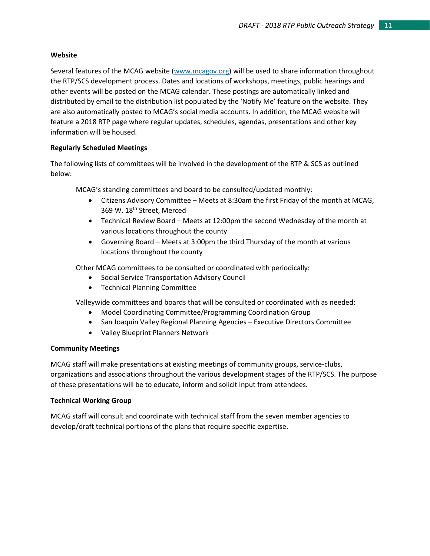#### **Website**

Several features of the MCAG website [\(www.mcagov.org\)](http://www.mcagov.org/) will be used to share information throughout the RTP/SCS development process. Dates and locations of workshops, meetings, public hearings and other events will be posted on the MCAG calendar. These postings are automatically linked and distributed by email to the distribution list populated by the 'Notify Me' feature on the website. They are also automatically posted to MCAG's social media accounts. In addition, the MCAG website will feature a 2018 RTP page where regular updates, schedules, agendas, presentations and other key information will be housed.

# **Regularly Scheduled Meetings**

The following lists of committees will be involved in the development of the RTP & SCS as outlined below:

MCAG's standing committees and board to be consulted/updated monthly:

- Citizens Advisory Committee Meets at 8:30am the first Friday of the month at MCAG, 369 W. 18th Street, Merced
- Technical Review Board Meets at 12:00pm the second Wednesday of the month at various locations throughout the county
- Governing Board Meets at 3:00pm the third Thursday of the month at various locations throughout the county

Other MCAG committees to be consulted or coordinated with periodically:

- Social Service Transportation Advisory Council
- Technical Planning Committee

Valleywide committees and boards that will be consulted or coordinated with as needed:

- Model Coordinating Committee/Programming Coordination Group
- San Joaquin Valley Regional Planning Agencies Executive Directors Committee
- Valley Blueprint Planners Network

# **Community Meetings**

MCAG staff will make presentations at existing meetings of community groups, service-clubs, organizations and associations throughout the various development stages of the RTP/SCS. The purpose of these presentations will be to educate, inform and solicit input from attendees.

# **Technical Working Group**

MCAG staff will consult and coordinate with technical staff from the seven member agencies to develop/draft technical portions of the plans that require specific expertise.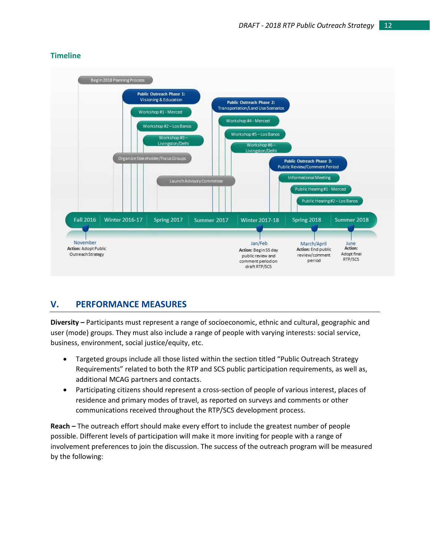# **Timeline**



# **V. PERFORMANCE MEASURES**

**Diversity –** Participants must represent a range of socioeconomic, ethnic and cultural, geographic and user (mode) groups. They must also include a range of people with varying interests: social service, business, environment, social justice/equity, etc.

- Targeted groups include all those listed within the section titled "Public Outreach Strategy Requirements" related to both the RTP and SCS public participation requirements, as well as, additional MCAG partners and contacts.
- Participating citizens should represent a cross-section of people of various interest, places of residence and primary modes of travel, as reported on surveys and comments or other communications received throughout the RTP/SCS development process.

**Reach –** The outreach effort should make every effort to include the greatest number of people possible. Different levels of participation will make it more inviting for people with a range of involvement preferences to join the discussion. The success of the outreach program will be measured by the following: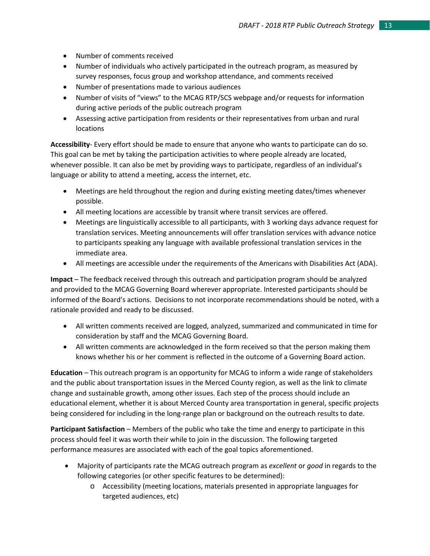- Number of comments received
- Number of individuals who actively participated in the outreach program, as measured by survey responses, focus group and workshop attendance, and comments received
- Number of presentations made to various audiences
- Number of visits of "views" to the MCAG RTP/SCS webpage and/or requests for information during active periods of the public outreach program
- Assessing active participation from residents or their representatives from urban and rural locations

**Accessibility**- Every effort should be made to ensure that anyone who wants to participate can do so. This goal can be met by taking the participation activities to where people already are located, whenever possible. It can also be met by providing ways to participate, regardless of an individual's language or ability to attend a meeting, access the internet, etc.

- Meetings are held throughout the region and during existing meeting dates/times whenever possible.
- All meeting locations are accessible by transit where transit services are offered.
- Meetings are linguistically accessible to all participants, with 3 working days advance request for translation services. Meeting announcements will offer translation services with advance notice to participants speaking any language with available professional translation services in the immediate area.
- All meetings are accessible under the requirements of the Americans with Disabilities Act (ADA).

**Impact** – The feedback received through this outreach and participation program should be analyzed and provided to the MCAG Governing Board wherever appropriate. Interested participants should be informed of the Board's actions. Decisions to not incorporate recommendations should be noted, with a rationale provided and ready to be discussed.

- All written comments received are logged, analyzed, summarized and communicated in time for consideration by staff and the MCAG Governing Board.
- All written comments are acknowledged in the form received so that the person making them knows whether his or her comment is reflected in the outcome of a Governing Board action.

**Education** – This outreach program is an opportunity for MCAG to inform a wide range of stakeholders and the public about transportation issues in the Merced County region, as well as the link to climate change and sustainable growth, among other issues. Each step of the process should include an educational element, whether it is about Merced County area transportation in general, specific projects being considered for including in the long-range plan or background on the outreach results to date.

**Participant Satisfaction** – Members of the public who take the time and energy to participate in this process should feel it was worth their while to join in the discussion. The following targeted performance measures are associated with each of the goal topics aforementioned.

- Majority of participants rate the MCAG outreach program as *excellent* or *good* in regards to the following categories (or other specific features to be determined):
	- o Accessibility (meeting locations, materials presented in appropriate languages for targeted audiences, etc)